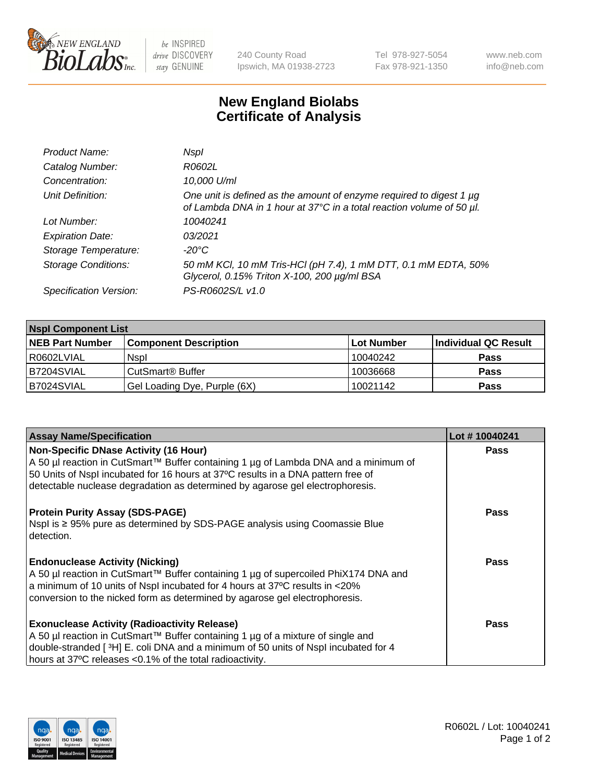

 $be$  INSPIRED drive DISCOVERY stay GENUINE

240 County Road Ipswich, MA 01938-2723 Tel 978-927-5054 Fax 978-921-1350 www.neb.com info@neb.com

## **New England Biolabs Certificate of Analysis**

| Product Name:              | Nspl                                                                                                                                             |
|----------------------------|--------------------------------------------------------------------------------------------------------------------------------------------------|
| Catalog Number:            | R0602L                                                                                                                                           |
| Concentration:             | 10,000 U/ml                                                                                                                                      |
| Unit Definition:           | One unit is defined as the amount of enzyme required to digest 1 $\mu$ g<br>of Lambda DNA in 1 hour at 37°C in a total reaction volume of 50 µl. |
| Lot Number:                | 10040241                                                                                                                                         |
| <b>Expiration Date:</b>    | 03/2021                                                                                                                                          |
| Storage Temperature:       | -20°C                                                                                                                                            |
| <b>Storage Conditions:</b> | 50 mM KCl, 10 mM Tris-HCl (pH 7.4), 1 mM DTT, 0.1 mM EDTA, 50%<br>Glycerol, 0.15% Triton X-100, 200 µg/ml BSA                                    |
| Specification Version:     | PS-R0602S/L v1.0                                                                                                                                 |

| <b>Nspl Component List</b> |                              |            |                      |  |  |
|----------------------------|------------------------------|------------|----------------------|--|--|
| <b>NEB Part Number</b>     | <b>Component Description</b> | Lot Number | Individual QC Result |  |  |
| R0602LVIAL                 | <b>Nspl</b>                  | 10040242   | <b>Pass</b>          |  |  |
| B7204SVIAL                 | CutSmart <sup>®</sup> Buffer | 10036668   | <b>Pass</b>          |  |  |
| B7024SVIAL                 | Gel Loading Dye, Purple (6X) | 10021142   | <b>Pass</b>          |  |  |

| <b>Assay Name/Specification</b>                                                                                                                                    | Lot #10040241 |
|--------------------------------------------------------------------------------------------------------------------------------------------------------------------|---------------|
| <b>Non-Specific DNase Activity (16 Hour)</b><br>A 50 µl reaction in CutSmart™ Buffer containing 1 µg of Lambda DNA and a minimum of                                | <b>Pass</b>   |
| 50 Units of Nspl incubated for 16 hours at 37°C results in a DNA pattern free of<br>detectable nuclease degradation as determined by agarose gel electrophoresis.  |               |
| <b>Protein Purity Assay (SDS-PAGE)</b>                                                                                                                             | <b>Pass</b>   |
| Nspl is ≥ 95% pure as determined by SDS-PAGE analysis using Coomassie Blue<br>detection.                                                                           |               |
| <b>Endonuclease Activity (Nicking)</b>                                                                                                                             | Pass          |
| A 50 µl reaction in CutSmart™ Buffer containing 1 µg of supercoiled PhiX174 DNA and<br>a minimum of 10 units of Nspl incubated for 4 hours at 37°C results in <20% |               |
| conversion to the nicked form as determined by agarose gel electrophoresis.                                                                                        |               |
| <b>Exonuclease Activity (Radioactivity Release)</b>                                                                                                                | <b>Pass</b>   |
| A 50 µl reaction in CutSmart™ Buffer containing 1 µg of a mixture of single and                                                                                    |               |
| double-stranded [3H] E. coli DNA and a minimum of 50 units of Nspl incubated for 4                                                                                 |               |
| hours at 37°C releases <0.1% of the total radioactivity.                                                                                                           |               |